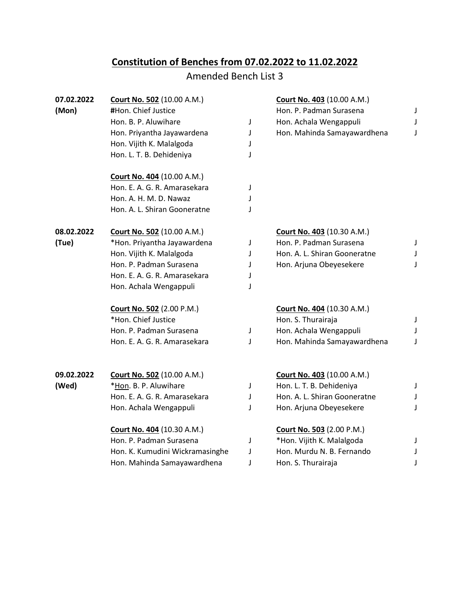## **Constitution of Benches from 07.02.2022 to 11.02.2022**

## Amended Bench List 3

| (Mon)<br>#Hon. Chief Justice<br>Hon. B. P. Aluwihare<br>Hon. Priyantha Jayawardena |                                 | J<br>J | Hon. P. Padman Surasena<br>Hon. Achala Wengappuli | J<br>J |
|------------------------------------------------------------------------------------|---------------------------------|--------|---------------------------------------------------|--------|
|                                                                                    |                                 |        |                                                   |        |
|                                                                                    |                                 |        |                                                   |        |
|                                                                                    |                                 |        | Hon. Mahinda Samayawardhena                       | J      |
| Hon. Vijith K. Malalgoda                                                           |                                 | J      |                                                   |        |
| Hon. L. T. B. Dehideniya                                                           |                                 | J      |                                                   |        |
| Court No. 404 (10.00 A.M.)                                                         |                                 |        |                                                   |        |
| Hon. E. A. G. R. Amarasekara                                                       |                                 | J      |                                                   |        |
| Hon. A. H. M. D. Nawaz                                                             |                                 | J      |                                                   |        |
| Hon. A. L. Shiran Gooneratne                                                       |                                 | J      |                                                   |        |
| 08.02.2022<br><b>Court No. 502 (10.00 A.M.)</b>                                    |                                 |        | <b>Court No. 403 (10.30 A.M.)</b>                 |        |
| (Tue)<br>*Hon. Priyantha Jayawardena                                               |                                 | J      | Hon. P. Padman Surasena                           | J      |
| Hon. Vijith K. Malalgoda                                                           |                                 | J      | Hon. A. L. Shiran Gooneratne                      | J      |
| Hon. P. Padman Surasena                                                            |                                 | J      | Hon. Arjuna Obeyesekere                           | J      |
| Hon. E. A. G. R. Amarasekara                                                       |                                 | J      |                                                   |        |
| Hon. Achala Wengappuli                                                             |                                 | J      |                                                   |        |
| Court No. 502 (2.00 P.M.)                                                          |                                 |        | <b>Court No. 404 (10.30 A.M.)</b>                 |        |
| *Hon. Chief Justice                                                                |                                 |        | Hon. S. Thurairaja                                | J      |
| Hon. P. Padman Surasena                                                            |                                 | J      | Hon. Achala Wengappuli                            | J      |
| Hon. E. A. G. R. Amarasekara                                                       |                                 | J      | Hon. Mahinda Samayawardhena                       | J      |
| 09.02.2022<br><b>Court No. 502 (10.00 A.M.)</b>                                    |                                 |        | <b>Court No. 403 (10.00 A.M.)</b>                 |        |
| *Hon. B. P. Aluwihare<br>(Wed)                                                     |                                 | J      | Hon. L. T. B. Dehideniya                          | J      |
| Hon. E. A. G. R. Amarasekara                                                       |                                 | J      | Hon. A. L. Shiran Gooneratne                      | J      |
| Hon. Achala Wengappuli                                                             |                                 | J      | Hon. Arjuna Obeyesekere                           | J      |
| Court No. 404 (10.30 A.M.)                                                         |                                 |        | <b>Court No. 503 (2.00 P.M.)</b>                  |        |
| Hon. P. Padman Surasena                                                            |                                 | J      | *Hon. Vijith K. Malalgoda                         | J      |
|                                                                                    | Hon. K. Kumudini Wickramasinghe | J      | Hon. Murdu N. B. Fernando                         | J      |
|                                                                                    | Hon. Mahinda Samayawardhena     | J      | Hon. S. Thurairaja                                | J      |